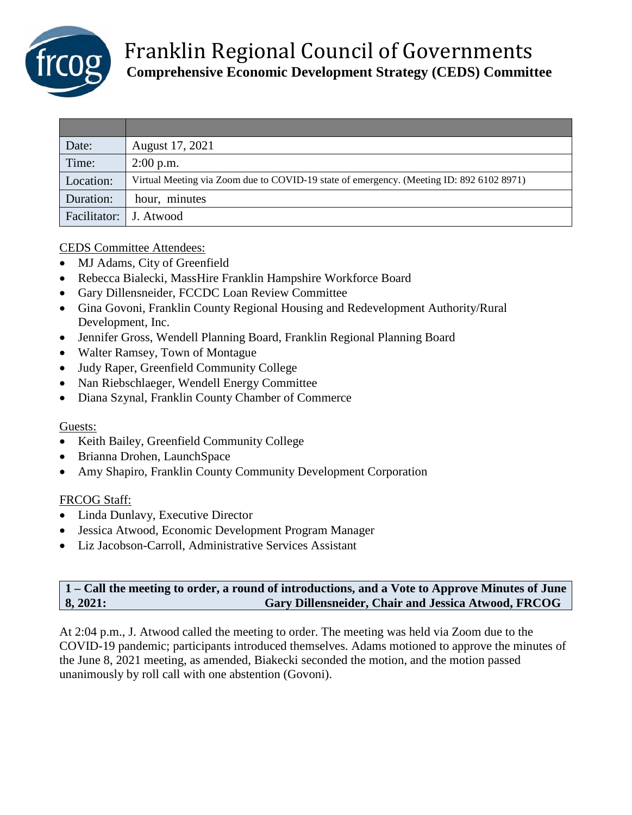

| Date:                  | August 17, 2021                                                                          |
|------------------------|------------------------------------------------------------------------------------------|
| Time:                  | $2:00$ p.m.                                                                              |
| Location:              | Virtual Meeting via Zoom due to COVID-19 state of emergency. (Meeting ID: 892 6102 8971) |
| Duration:              | hour, minutes                                                                            |
| Facilitator: J. Atwood |                                                                                          |

### CEDS Committee Attendees:

- MJ Adams, City of Greenfield
- Rebecca Bialecki, MassHire Franklin Hampshire Workforce Board
- Gary Dillensneider, FCCDC Loan Review Committee
- Gina Govoni, Franklin County Regional Housing and Redevelopment Authority/Rural Development, Inc.
- Jennifer Gross, Wendell Planning Board, Franklin Regional Planning Board
- Walter Ramsey, Town of Montague
- Judy Raper, Greenfield Community College
- Nan Riebschlaeger, Wendell Energy Committee
- Diana Szynal, Franklin County Chamber of Commerce

### Guests:

- Keith Bailey, Greenfield Community College
- Brianna Drohen, LaunchSpace
- Amy Shapiro, Franklin County Community Development Corporation

### FRCOG Staff:

- Linda Dunlavy, Executive Director
- Jessica Atwood, Economic Development Program Manager
- Liz Jacobson-Carroll, Administrative Services Assistant

## **1 – Call the meeting to order, a round of introductions, and a Vote to Approve Minutes of June 8, 2021: Gary Dillensneider, Chair and Jessica Atwood, FRCOG**

At 2:04 p.m., J. Atwood called the meeting to order. The meeting was held via Zoom due to the COVID-19 pandemic; participants introduced themselves. Adams motioned to approve the minutes of the June 8, 2021 meeting, as amended, Biakecki seconded the motion, and the motion passed unanimously by roll call with one abstention (Govoni).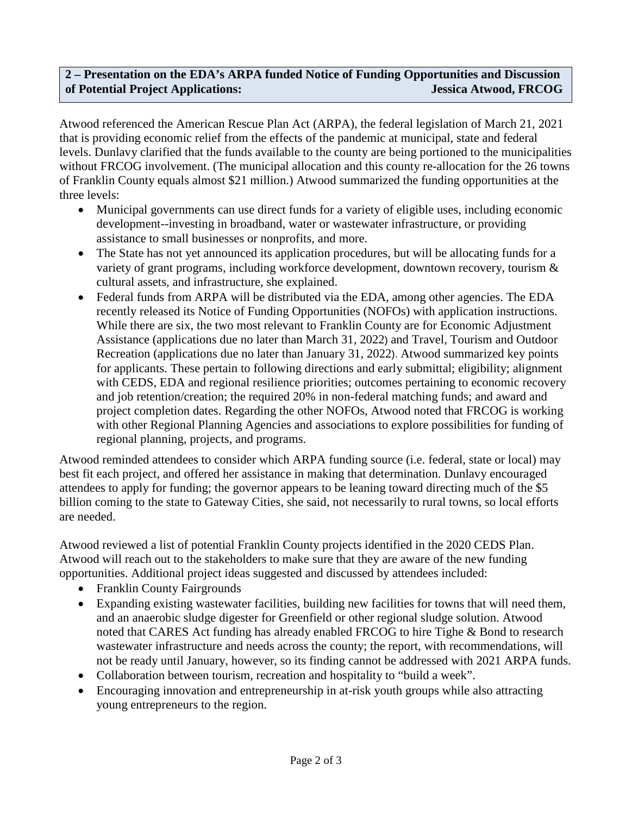## **2 – Presentation on the EDA's ARPA funded Notice of Funding Opportunities and Discussion of Potential Project Applications: Jessica Atwood, FRCOG**

Atwood referenced the American Rescue Plan Act (ARPA), the federal legislation of March 21, 2021 that is providing economic relief from the effects of the pandemic at municipal, state and federal levels. Dunlavy clarified that the funds available to the county are being portioned to the municipalities without FRCOG involvement. (The municipal allocation and this county re-allocation for the 26 towns of Franklin County equals almost \$21 million.) Atwood summarized the funding opportunities at the three levels:

- Municipal governments can use direct funds for a variety of eligible uses, including economic development--investing in broadband, water or wastewater infrastructure, or providing assistance to small businesses or nonprofits, and more.
- The State has not yet announced its application procedures, but will be allocating funds for a variety of grant programs, including workforce development, downtown recovery, tourism & cultural assets, and infrastructure, she explained.
- Federal funds from ARPA will be distributed via the EDA, among other agencies. The EDA recently released its Notice of Funding Opportunities (NOFOs) with application instructions. While there are six, the two most relevant to Franklin County are for Economic Adjustment Assistance (applications due no later than March 31, 2022) and Travel, Tourism and Outdoor Recreation (applications due no later than January 31, 2022). Atwood summarized key points for applicants. These pertain to following directions and early submittal; eligibility; alignment with CEDS, EDA and regional resilience priorities; outcomes pertaining to economic recovery and job retention/creation; the required 20% in non-federal matching funds; and award and project completion dates. Regarding the other NOFOs, Atwood noted that FRCOG is working with other Regional Planning Agencies and associations to explore possibilities for funding of regional planning, projects, and programs.

Atwood reminded attendees to consider which ARPA funding source (i.e. federal, state or local) may best fit each project, and offered her assistance in making that determination. Dunlavy encouraged attendees to apply for funding; the governor appears to be leaning toward directing much of the \$5 billion coming to the state to Gateway Cities, she said, not necessarily to rural towns, so local efforts are needed.

Atwood reviewed a list of potential Franklin County projects identified in the 2020 CEDS Plan. Atwood will reach out to the stakeholders to make sure that they are aware of the new funding opportunities. Additional project ideas suggested and discussed by attendees included:

- Franklin County Fairgrounds
- Expanding existing wastewater facilities, building new facilities for towns that will need them, and an anaerobic sludge digester for Greenfield or other regional sludge solution. Atwood noted that CARES Act funding has already enabled FRCOG to hire Tighe & Bond to research wastewater infrastructure and needs across the county; the report, with recommendations, will not be ready until January, however, so its finding cannot be addressed with 2021 ARPA funds.
- Collaboration between tourism, recreation and hospitality to "build a week".
- Encouraging innovation and entrepreneurship in at-risk youth groups while also attracting young entrepreneurs to the region.